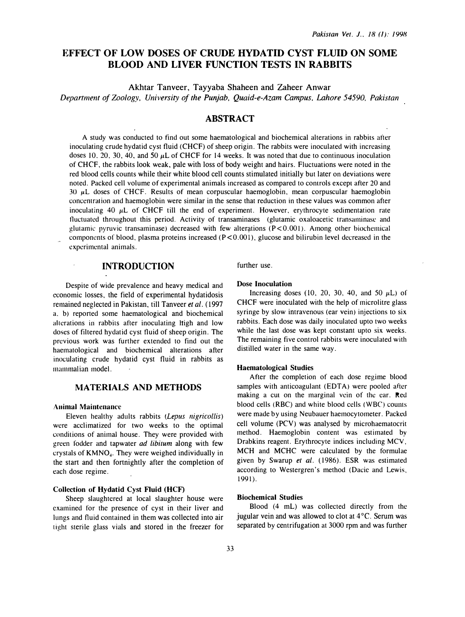# EFFECT OF LOW DOSES OF CRUDE HYDATID CYST FLUID ON SOME BLOOD AND LIVER FUNCTION TESTS IN RABBITS

Akhtar Tanveer, Tayyaba Shaheen and Zaheer Anwar Department of Zoology, University of the Punjab, Quaid-e-Azam Campus, Lahore 54590, Pakistan

## **ABSTRACT**

A study was conducted to find out some haematological and biochemical alterations in rabbits after inoculating crude hydatid cyst fluid (CHCF) of sheep origin. The rabbits were inoculated with increasing doses 10, 20, 30, 40, and 50  $\mu$ L of CHCF for 14 weeks. It was noted that due to continuous inoculation of CHCF, the rabbits look weak, pale with loss of body weight and hairs. Fluctuations were noted in the red blood cells counts while their white blood cell counts stimulated initially but later on deviations were noted. Packed cell volume of experimental animals increased as compared to controls except after 20 and  $30 \mu L$  doses of CHCF. Results of mean corpuscular haemoglobin, mean corpuscular haemoglobin concentration and haemoglobin were similar in the sense that reduction in these values was common after inoculating 40  $\mu$ L of CHCF till the end of experiment. However, erythrocyte sedimentation rate fluctuated throughout this period. Activity of transaminases (glutamic oxaloacetic transaminase and glutamic pyruvic transaminase) decreased with few alterations  $(P < 0.001)$ . Among other biochemical components of blood, plasma proteins increased ( $P < 0.001$ ), glucose and bilirubin level decreased in the experimental animals.

## INTRODUCTION

Despite of wide prevalence and heavy medical and economic losses, the field of experimental hydatidosis remained neglected in Pakistan, till Tanveer et al. ( 1997 a. b) reported some haematological and biochemical alterations in rabbits after inoculating ltigh and low doses of filtered hydatid cyst fluid of sheep origin. The previous work was further extended to find out the haematological and biochemical alterations after inoculating crude hydatid cyst fluid in rabbits as mammalian model.

## MATERIALS AND METHODS

#### Animal Maintenance

Eleven healthy adults rabbits (Lepus nigricollis) were acclimatized for two weeks to the optimal conditions of animal house. They were provided with green fodder and tapwater *ad libitum* along with few crystals of KMNO<sub>4</sub>. They were weighed individually in the start and then fortnightly after the completion of each dose regime.

### Collection of' Hydatid Cyst Fluid (HCF)

Sheep slaughtered at local slaughter house were examined for the presence of cyst in their liver and lungs and fluid contained in them was collected into air tight sterile glass vials and stored in the freezer for further use.

#### Dose Inoculation

Increasing doses (10, 20, 30, 40, and 50  $\mu$ L) of CHCF were inoculated with the help of microlitre glass syringe by slow intravenous (ear vein) injections to six rabbits. Each dose was daily inoculated upto two weeks while the last dose was kept constant upto six weeks. The remaining five control rabbits were inoculated with distilled water in the same way.

#### Haematological Studies

After the completion of each dose regime blood samples with anticoagulant (EDTA) were pooled after making a cut on the marginal vein of the car. Red blood cells (RBC) and white blood cells (WBC) counts were made by using Neubauer haemocytometer. Packed cell volume (PCV) was analysed by microhaematocrit method. Haemoglobin content was estimated by Drabkins reagent. Erythrocyte indices including MCV, MCH and MCHC were calculated by the formulae given by Swarup et al. (1986). ESR was estimated according to Westergren's method (Dacie and Lewis, 1991).

#### Biochemical Studies

Blood (4 mL) was collected directly from the jugular vein and was allowed to clot at  $4^{\circ}$ C. Serum was separated by centrifugation at 3000 rpm and was further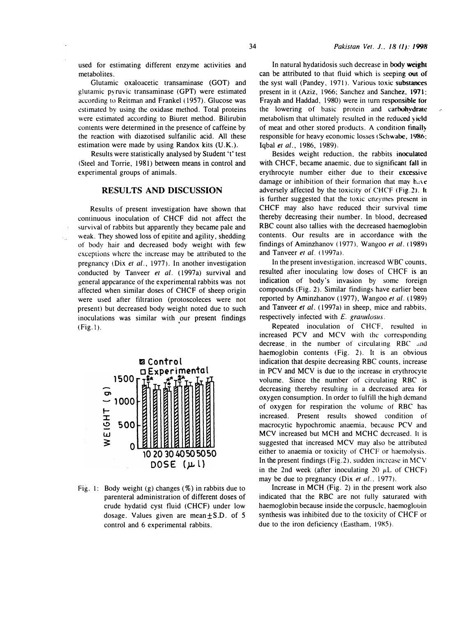used for estimating different enzyme activities and metabolites.

Glutamic oxaloacetic transaminase (GOT) and glutamic pyruvic transaminase (GPT) were estimated according to Reitman and Frankel (1957). Glucose was estimated by using the oxidase method. Total proteins were estimated according to Biuret method. Bilirubin contents were determined in the presence of caffeine by the reaction with diazotised sulfanilic acid. All these estimation were made by using Randox kits (U.K.).

Results were statistically analysed by Student 't' test (Steel and Torrie, 1981) between means in control and experimental groups of animals.

### RESULTS AND DISCUSSION

Results of present investigation have shown that continuous inoculation of CHCF did not affect the survival of rabbits but apparently they became pale and weak. They showed loss of epitite and agility, shedding of body hair and decreased body weight with few exceptions where the increase may be attributed to the pregnancy (Dix et al., 1977). In another investigation conducted by Tanveer et al. (1997a) survival and general appearance of the experimental rabbits was not affected when similar doses of CHCF of sheep origin were used after filtration (protoscoleces were not present) but decreased body weight noted due to such inoculations was similar with our present findings  $(Fig. 1)$ .

 $\omega_{\rm{eff}}$ 



Fig. 1: Body weight (g) changes (%) in rabbits due to parenteral administration of different doses of crude hydatid cyst fluid (CHCF) under low dosage. Values given are mean $\pm$ S.D. of 5 control and 6 experimental rabbits.

In natural hydatidosis such decrease in body weight can be attributed to that fluid which is seeping out of the syst wall (Pandey, 1971). Various toxic substances present in it (Aziz, 1966; Sanchez and Sanchez. 1971: Frayah and Haddad, 1980) were in turn responsible for the lowering of basic protein and carbohydrate metabolism that ultimately resulted in the reduced yield of meat and other stored products. A condition finally responsible for heavy economic losses (Schwabe, 1986; Iqbal et al., 1986. 1989).

Besides weight reduction, the rabbits inoculated with CHCF, became anaemic, due to significant fall in erythrocyte number either due to their excessive damage or inhibition of their formation that may have adversely affected by the toxicity of CHCF (Fig.2). It is further suggested that the toxic enzymes presem in CHCF may also have reduced their survival time thereby decreasing their number. In blood, decreased RBC count also tallies with the decreased haemoglobin contents. Our results are in accordance with the findings of Aminzhanov (1977), Wangoo et al. (1989) and Tanveer et al. ( 1997a).

In the present investigation, increased WBC counts, resulted after inoculating low doses of CHCF is an indication of body's invasion by some foreign compounds (Fig. 2). Similar findings have earlier been reported by Aminzhanov (1977), Wangoo et al. (1989) and Tanveer et al. (1997a) in sheep, mice and rabbits, respectively infected with £. granulosus.

Repeated inoculation of CHCF, resulted in increased PCV and MCV with the corresponding decrease in the number of circulating RBC and haemoglobin contents (Fig. 2). It is an obvious indication that despite decreasing RBC counts, increase in PCV and MCV is due to the increase in erythrocyte volume. Since the number of circulating RBC is decreasing thereby resulting in a decreased area for oxygen consumption. In order to fulfill the high demand of oxygen for respiration the volume of RBC has increased. Present results showed condition of macrocytic hypochromic anaemia, because PCV and MCV increased but MCH and MCHC decreased. It is suggested that increased MCV may also be attributed either to anaemia or toxicity of CHCF or haemolysis. In the present findings ( $Fig.2$ ), sudden increase in MCV in the 2nd week (after inoculating 20  $\mu$ L of CHCF) may be due to pregnancy (Dix et al., 1977).

Increase in MCH (Fig. 2) in the present work also indicated that the RBC are not fully saturated with haemoglobin because inside the corpuscle, haemoglobin synthesis was inhibited due to the toxicity of CHCF or due to the iron deficiency (Eastham, 19X5).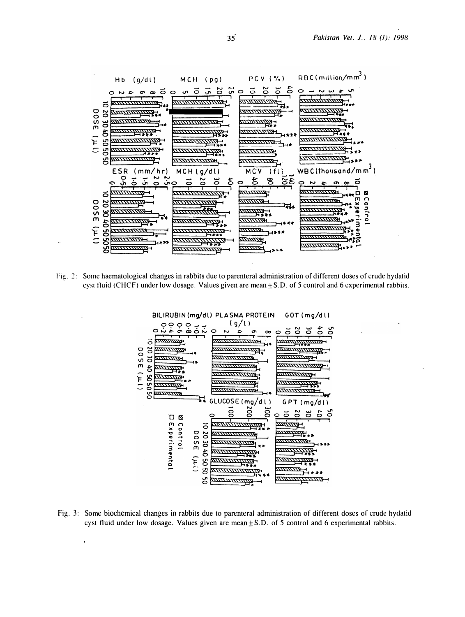

Fig. 2: Some haematological changes in rabbits due to parenteral administration of different doses of crude hydatid cyst fluid (CHCF) under low dosage. Values given are mean  $\pm$  S.D. of 5 control and 6 experimental rabbits.



Fig. 3: Some biochemical changes in rabbits due to parenteral administration of different doses of crude hydatid cyst fluid under low dosage. Values given are mean $\pm$ S.D. of 5 control and 6 experimental rabbits.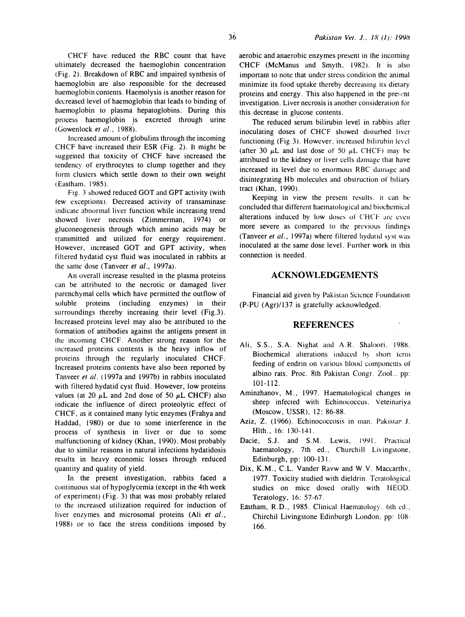CHCF have reduced the RBC count that have ultimately decreased the haemoglobin concentration (Fig. 2). Breakdown of RBC and impaired synthesis of haemoglobin are also responsible for the decreased haemoglobin contents. Haemolysis is another reason for decreased level of haemoglobin that leads to binding of haemoglobin to plasma hepatoglobins. During this process haemoglobin is excreted through urine (Gowenlock et al., 1988).

Increased amount of globulins through the incoming CHCF have increased their ESR (Fig. 2). It might be suggested that toxicity of CHCF have increased the tendency of erythrocytes to clump together and they form clusters which settle down to their own weight (Eastham. 1985).

Fig. 3 showed reduced GOT and GPT activity (with few exceptions). Decreased activity of transaminase indicate abnormal liver function while increasing trend showed liver necrosis (Zimmerman, 1974) or gluconeogenesis through which amino acids may be transmitted and utilized for energy requirement. However, increased GOT and GPT activity, when filtered hydatid cyst fluid was inoculated in rabbits at the same dose (Tanveer et al., 1997a).

An overall increase resulted in the plasma proteins can be attributed to the necrotic or damaged liver parenchymal cells which have permitted the outflow of soluble proteins (including enzymes) in their surroundings thereby increasing their level (Fig.3). Increased proteins level may also be attributed to the formation of antibodies against the antigens present in the incoming CHCF. Another strong reason for the increased proteins contents is the heavy inflow of proteins through the regularly inoculated CHCF. Increased proteins contents have also been reported by Tanveer et al. (1997a and 1997b) in rabbits inoculated with filtered hydatid cyst fluid. However, low proteins values (at 20  $\mu$ L and 2nd dose of 50  $\mu$ L CHCF) also indicate the influence of direct proteolytic effect of CHCF, as it contained many lytic enzymes (Frahya and Haddad, 1980) or due to some interference in the process of synthesis in liver or due to some malfunctioning of kidney (Khan, 1990). Most probably due to similar reasons in natural infections hydatidosis results in heavy economic losses through reduced quantity and quality of yield.

In the present investigation, rabbits faced a continuous stat of hypoglycemia (except in the 4th week of experiment) (Fig. 3) that was most probably related to the increased utilization required for induction of liver enzymes and microsomal proteins (Ali et al., 1988) or to face the stress conditions imposed by

aerobic and anaerobic enzymes present in the incoming CHCF (McManus and Smyth, 1982). It is also important to note that under stress condition the animal minimize its food uptake thereby decreasing its dietary proteins and energy. This also happened in the present investigation. Liver necrosis is another consideration for this decrease in glucose contents.

The reduced serum bilirubin level in rabbits after inoculating doses of CHCF showed disturbed liver functioning (Fig.3). However, increased bilirubin level (after 30  $\mu$ L and last dose of 50  $\mu$ L CHCF) may be attributed to the kidney or liver cells damage that have increased its level due to enormous RBC damage and disintegrating Hb molecules and obstruction of biliary tract (Khan, 1990).

Keeping in view the present results. it can be concluded that different haematological and biochemical alterations induced by low doses of CHCF are even more severe as compared to the previous findings (Tanveer et al., 1997a) where filtered hydatid syst was inoculated at the same dose level. Further work in this connection is needed.

## **ACKNOWLEDGEMENTS**

Financial aid given by Pakistan Science Foundation (P-PU (Agr)/137 is gratefully acknowledged.

## **REFERENCES**

- Ali, S.S., S.A. Nighat and A.R. Shaloori. 198�. Biochemical allerations induced by short term feeding of endrin on various blood components of albino rats. Proc. 8th Pakistan Congr. Zoo!.. pp: 101-112.
- Aminzhanov, M., 1997. Haematological changes in sheep infected with Echinococcus. Veteinariya (Moscow, USSR), 12: 86-88.
- Aziz, Z. (1966). Echinococcosis in man. Pakistan J. Hlth., 16: 130- 141.
- Dacie, S.J. and S.M. Lewis, 1991. Practical haematology, 7th ed., Churchill Livingstone, Edinburgh, pp: 100-131.
- Dix, K.M., C.L. Vander Ravw and W.Y. Maccarthv, 1977. Toxicity studied with dieldrin. Teratological studies on mice dosed orally with HEOD. Teratology, 16: 57-67.
- Eastham, R.D., 1985. Clinical Haematology. 6th ed., Chirchil Livingstone Edinburgh London, pp: 108-166.